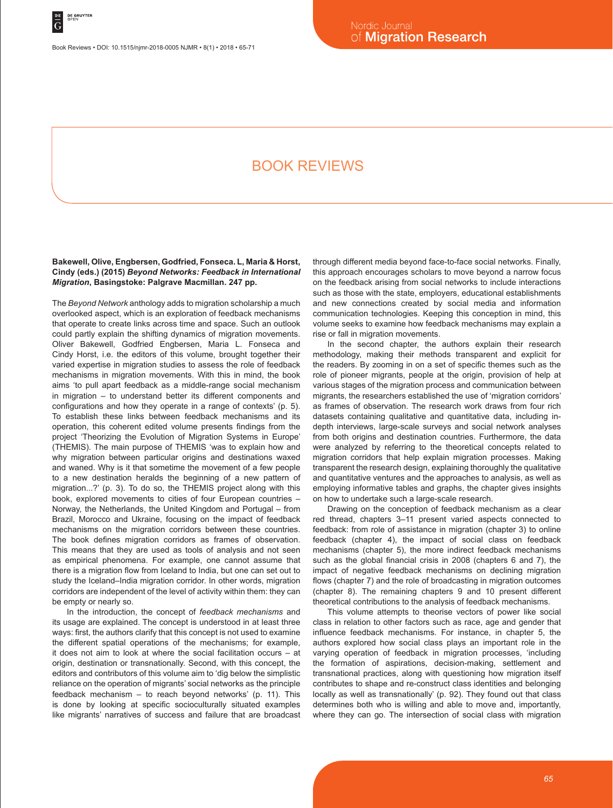Book Reviews • DOI: 10.1515/njmr-2018-0005 NJMR • 8(1) • 2018 • 65-71

# Book reviews

# **Bakewell, Olive, Engbersen, Godfried, Fonseca. L, Maria & Horst, Cindy (eds.) (2015)** *Beyond Networks: Feedback in International Migration***, Basingstoke: Palgrave Macmillan. 247 pp.**

The *Beyond Network* anthology adds to migration scholarship a much overlooked aspect, which is an exploration of feedback mechanisms that operate to create links across time and space. Such an outlook could partly explain the shifting dynamics of migration movements. Oliver Bakewell, Godfried Engbersen, Maria L. Fonseca and Cindy Horst, i.e. the editors of this volume, brought together their varied expertise in migration studies to assess the role of feedback mechanisms in migration movements. With this in mind, the book aims 'to pull apart feedback as a middle-range social mechanism in migration – to understand better its different components and configurations and how they operate in a range of contexts' (p. 5). To establish these links between feedback mechanisms and its operation, this coherent edited volume presents findings from the project 'Theorizing the Evolution of Migration Systems in Europe' (THEMIS). The main purpose of THEMIS 'was to explain how and why migration between particular origins and destinations waxed and waned. Why is it that sometime the movement of a few people to a new destination heralds the beginning of a new pattern of migration...?' (p. 3). To do so, the THEMIS project along with this book, explored movements to cities of four European countries – Norway, the Netherlands, the United Kingdom and Portugal – from Brazil, Morocco and Ukraine, focusing on the impact of feedback mechanisms on the migration corridors between these countries. The book defines migration corridors as frames of observation. This means that they are used as tools of analysis and not seen as empirical phenomena. For example, one cannot assume that there is a migration flow from Iceland to India, but one can set out to study the Iceland–India migration corridor. In other words, migration corridors are independent of the level of activity within them: they can be empty or nearly so.

In the introduction, the concept of *feedback mechanisms* and its usage are explained. The concept is understood in at least three ways: first, the authors clarify that this concept is not used to examine the different spatial operations of the mechanisms; for example, it does not aim to look at where the social facilitation occurs – at origin, destination or transnationally. Second, with this concept, the editors and contributors of this volume aim to 'dig below the simplistic reliance on the operation of migrants' social networks as the principle feedback mechanism – to reach beyond networks' (p. 11). This is done by looking at specific socioculturally situated examples like migrants' narratives of success and failure that are broadcast through different media beyond face-to-face social networks. Finally, this approach encourages scholars to move beyond a narrow focus on the feedback arising from social networks to include interactions such as those with the state, employers, educational establishments and new connections created by social media and information communication technologies. Keeping this conception in mind, this volume seeks to examine how feedback mechanisms may explain a rise or fall in migration movements.

In the second chapter, the authors explain their research methodology, making their methods transparent and explicit for the readers. By zooming in on a set of specific themes such as the role of pioneer migrants, people at the origin, provision of help at various stages of the migration process and communication between migrants, the researchers established the use of 'migration corridors' as frames of observation. The research work draws from four rich datasets containing qualitative and quantitative data, including indepth interviews, large-scale surveys and social network analyses from both origins and destination countries. Furthermore, the data were analyzed by referring to the theoretical concepts related to migration corridors that help explain migration processes. Making transparent the research design, explaining thoroughly the qualitative and quantitative ventures and the approaches to analysis, as well as employing informative tables and graphs, the chapter gives insights on how to undertake such a large-scale research.

Drawing on the conception of feedback mechanism as a clear red thread, chapters 3–11 present varied aspects connected to feedback: from role of assistance in migration (chapter 3) to online feedback (chapter 4), the impact of social class on feedback mechanisms (chapter 5), the more indirect feedback mechanisms such as the global financial crisis in 2008 (chapters 6 and 7), the impact of negative feedback mechanisms on declining migration flows (chapter 7) and the role of broadcasting in migration outcomes (chapter 8). The remaining chapters 9 and 10 present different theoretical contributions to the analysis of feedback mechanisms.

This volume attempts to theorise vectors of power like social class in relation to other factors such as race, age and gender that influence feedback mechanisms. For instance, in chapter 5, the authors explored how social class plays an important role in the varying operation of feedback in migration processes, 'including the formation of aspirations, decision-making, settlement and transnational practices, along with questioning how migration itself contributes to shape and re-construct class identities and belonging locally as well as transnationally' (p. 92). They found out that class determines both who is willing and able to move and, importantly, where they can go. The intersection of social class with migration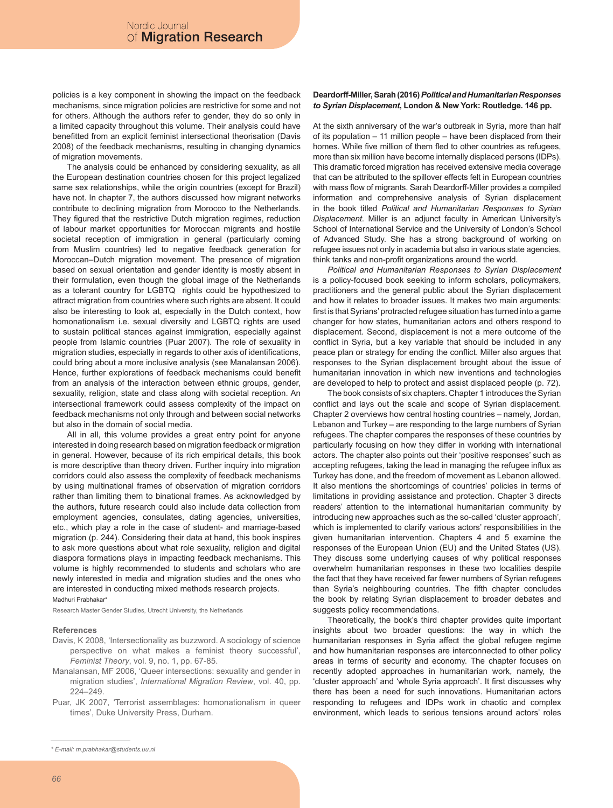policies is a key component in showing the impact on the feedback mechanisms, since migration policies are restrictive for some and not for others. Although the authors refer to gender, they do so only in a limited capacity throughout this volume. Their analysis could have benefitted from an explicit feminist intersectional theorisation (Davis 2008) of the feedback mechanisms, resulting in changing dynamics of migration movements.

The analysis could be enhanced by considering sexuality, as all the European destination countries chosen for this project legalized same sex relationships, while the origin countries (except for Brazil) have not. In chapter 7, the authors discussed how migrant networks contribute to declining migration from Morocco to the Netherlands. They figured that the restrictive Dutch migration regimes, reduction of labour market opportunities for Moroccan migrants and hostile societal reception of immigration in general (particularly coming from Muslim countries) led to negative feedback generation for Moroccan–Dutch migration movement. The presence of migration based on sexual orientation and gender identity is mostly absent in their formulation, even though the global image of the Netherlands as a tolerant country for LGBTQ rights could be hypothesized to attract migration from countries where such rights are absent. It could also be interesting to look at, especially in the Dutch context, how homonationalism i.e. sexual diversity and LGBTQ rights are used to sustain political stances against immigration, especially against people from Islamic countries (Puar 2007). The role of sexuality in migration studies, especially in regards to other axis of identifications, could bring about a more inclusive analysis (see Manalansan 2006). Hence, further explorations of feedback mechanisms could benefit from an analysis of the interaction between ethnic groups, gender, sexuality, religion, state and class along with societal reception. An intersectional framework could assess complexity of the impact on feedback mechanisms not only through and between social networks but also in the domain of social media.

All in all, this volume provides a great entry point for anyone interested in doing research based on migration feedback or migration in general. However, because of its rich empirical details, this book is more descriptive than theory driven. Further inquiry into migration corridors could also assess the complexity of feedback mechanisms by using multinational frames of observation of migration corridors rather than limiting them to binational frames. As acknowledged by the authors, future research could also include data collection from employment agencies, consulates, dating agencies, universities, etc., which play a role in the case of student- and marriage-based migration (p. 244). Considering their data at hand, this book inspires to ask more questions about what role sexuality, religion and digital diaspora formations plays in impacting feedback mechanisms. This volume is highly recommended to students and scholars who are newly interested in media and migration studies and the ones who are interested in conducting mixed methods research projects. Madhuri Prabhakar\*

Research Master Gender Studies, Utrecht University, the Netherlands

#### **References**

- Davis, K 2008, 'Intersectionality as buzzword. A sociology of science perspective on what makes a feminist theory successful', *Feminist Theory*, vol. 9, no. 1, pp. 67-85.
- Manalansan, MF 2006, 'Queer intersections: sexuality and gender in migration studies', *International Migration Review*, vol. 40, pp. 224–249.
- Puar, JK 2007, 'Terrorist assemblages: homonationalism in queer times', Duke University Press, Durham.

#### **Deardorff-Miller, Sarah (2016)** *Political and Humanitarian Responses to Syrian Displacement***, London & New York: Routledge. 146 pp.**

At the sixth anniversary of the war's outbreak in Syria, more than half of its population – 11 million people – have been displaced from their homes. While five million of them fled to other countries as refugees, more than six million have become internally displaced persons (IDPs). This dramatic forced migration has received extensive media coverage that can be attributed to the spillover effects felt in European countries with mass flow of migrants. Sarah Deardorff-Miller provides a compiled information and comprehensive analysis of Syrian displacement in the book titled *Political and Humanitarian Responses to Syrian Displacement*. Miller is an adjunct faculty in American University's School of International Service and the University of London's School of Advanced Study. She has a strong background of working on refugee issues not only in academia but also in various state agencies, think tanks and non-profit organizations around the world.

*Political and Humanitarian Responses to Syrian Displacement* is a policy-focused book seeking to inform scholars, policymakers, practitioners and the general public about the Syrian displacement and how it relates to broader issues. It makes two main arguments: first is that Syrians' protracted refugee situation has turned into a game changer for how states, humanitarian actors and others respond to displacement. Second, displacement is not a mere outcome of the conflict in Syria, but a key variable that should be included in any peace plan or strategy for ending the conflict. Miller also argues that responses to the Syrian displacement brought about the issue of humanitarian innovation in which new inventions and technologies are developed to help to protect and assist displaced people (p. 72).

The book consists of six chapters. Chapter 1 introduces the Syrian conflict and lays out the scale and scope of Syrian displacement. Chapter 2 overviews how central hosting countries – namely, Jordan, Lebanon and Turkey – are responding to the large numbers of Syrian refugees. The chapter compares the responses of these countries by particularly focusing on how they differ in working with international actors. The chapter also points out their 'positive responses' such as accepting refugees, taking the lead in managing the refugee influx as Turkey has done, and the freedom of movement as Lebanon allowed. It also mentions the shortcomings of countries' policies in terms of limitations in providing assistance and protection. Chapter 3 directs readers' attention to the international humanitarian community by introducing new approaches such as the so-called 'cluster approach', which is implemented to clarify various actors' responsibilities in the given humanitarian intervention. Chapters 4 and 5 examine the responses of the European Union (EU) and the United States (US). They discuss some underlying causes of why political responses overwhelm humanitarian responses in these two localities despite the fact that they have received far fewer numbers of Syrian refugees than Syria's neighbouring countries. The fifth chapter concludes the book by relating Syrian displacement to broader debates and suggests policy recommendations.

Theoretically, the book's third chapter provides quite important insights about two broader questions: the way in which the humanitarian responses in Syria affect the global refugee regime and how humanitarian responses are interconnected to other policy areas in terms of security and economy. The chapter focuses on recently adopted approaches in humanitarian work, namely, the 'cluster approach' and 'whole Syria approach'. It first discusses why there has been a need for such innovations. Humanitarian actors responding to refugees and IDPs work in chaotic and complex environment, which leads to serious tensions around actors' roles

*<sup>\*</sup> E-mail: m.prabhakar@students.uu.nl*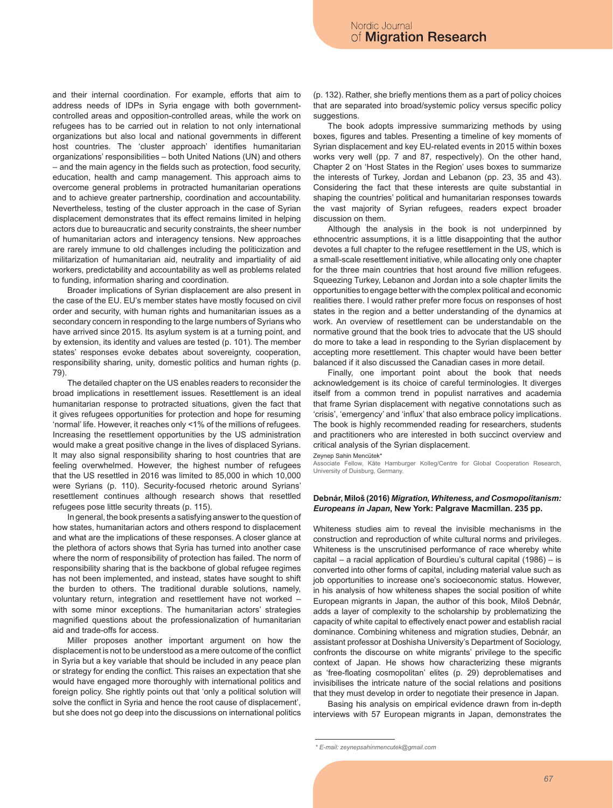and their internal coordination. For example, efforts that aim to address needs of IDPs in Syria engage with both governmentcontrolled areas and opposition-controlled areas, while the work on refugees has to be carried out in relation to not only international organizations but also local and national governments in different host countries. The 'cluster approach' identifies humanitarian organizations' responsibilities – both United Nations (UN) and others – and the main agency in the fields such as protection, food security, education, health and camp management. This approach aims to overcome general problems in protracted humanitarian operations and to achieve greater partnership, coordination and accountability. Nevertheless, testing of the cluster approach in the case of Syrian displacement demonstrates that its effect remains limited in helping actors due to bureaucratic and security constraints, the sheer number of humanitarian actors and interagency tensions. New approaches are rarely immune to old challenges including the politicization and militarization of humanitarian aid, neutrality and impartiality of aid workers, predictability and accountability as well as problems related to funding, information sharing and coordination.

Broader implications of Syrian displacement are also present in the case of the EU. EU's member states have mostly focused on civil order and security, with human rights and humanitarian issues as a secondary concern in responding to the large numbers of Syrians who have arrived since 2015. Its asylum system is at a turning point, and by extension, its identity and values are tested (p. 101). The member states' responses evoke debates about sovereignty, cooperation, responsibility sharing, unity, domestic politics and human rights (p. 79).

The detailed chapter on the US enables readers to reconsider the broad implications in resettlement issues. Resettlement is an ideal humanitarian response to protracted situations, given the fact that it gives refugees opportunities for protection and hope for resuming 'normal' life. However, it reaches only <1% of the millions of refugees. Increasing the resettlement opportunities by the US administration would make a great positive change in the lives of displaced Syrians. It may also signal responsibility sharing to host countries that are feeling overwhelmed. However, the highest number of refugees that the US resettled in 2016 was limited to 85,000 in which 10,000 were Syrians (p. 110). Security-focused rhetoric around Syrians' resettlement continues although research shows that resettled refugees pose little security threats (p. 115).

In general, the book presents a satisfying answer to the question of how states, humanitarian actors and others respond to displacement and what are the implications of these responses. A closer glance at the plethora of actors shows that Syria has turned into another case where the norm of responsibility of protection has failed. The norm of responsibility sharing that is the backbone of global refugee regimes has not been implemented, and instead, states have sought to shift the burden to others. The traditional durable solutions, namely, voluntary return, integration and resettlement have not worked – with some minor exceptions. The humanitarian actors' strategies magnified questions about the professionalization of humanitarian aid and trade-offs for access.

Miller proposes another important argument on how the displacement is not to be understood as a mere outcome of the conflict in Syria but a key variable that should be included in any peace plan or strategy for ending the conflict. This raises an expectation that she would have engaged more thoroughly with international politics and foreign policy. She rightly points out that 'only a political solution will solve the conflict in Syria and hence the root cause of displacement', but she does not go deep into the discussions on international politics (p. 132). Rather, she briefly mentions them as a part of policy choices that are separated into broad/systemic policy versus specific policy suggestions.

The book adopts impressive summarizing methods by using boxes, figures and tables. Presenting a timeline of key moments of Syrian displacement and key EU-related events in 2015 within boxes works very well (pp. 7 and 87, respectively). On the other hand, Chapter 2 on 'Host States in the Region' uses boxes to summarize the interests of Turkey, Jordan and Lebanon (pp. 23, 35 and 43). Considering the fact that these interests are quite substantial in shaping the countries' political and humanitarian responses towards the vast majority of Syrian refugees, readers expect broader discussion on them.

Although the analysis in the book is not underpinned by ethnocentric assumptions, it is a little disappointing that the author devotes a full chapter to the refugee resettlement in the US, which is a small-scale resettlement initiative, while allocating only one chapter for the three main countries that host around five million refugees. Squeezing Turkey, Lebanon and Jordan into a sole chapter limits the opportunities to engage better with the complex political and economic realities there. I would rather prefer more focus on responses of host states in the region and a better understanding of the dynamics at work. An overview of resettlement can be understandable on the normative ground that the book tries to advocate that the US should do more to take a lead in responding to the Syrian displacement by accepting more resettlement. This chapter would have been better balanced if it also discussed the Canadian cases in more detail.

Finally, one important point about the book that needs acknowledgement is its choice of careful terminologies. It diverges itself from a common trend in populist narratives and academia that frame Syrian displacement with negative connotations such as 'crisis', 'emergency' and 'influx' that also embrace policy implications. The book is highly recommended reading for researchers, students and practitioners who are interested in both succinct overview and critical analysis of the Syrian displacement.

Zeynep Sahin Mencütek\*

Associate Fellow, Käte Hamburger Kolleg/Centre for Global Cooperation Research, University of Duisburg, Germany.

#### **Debnár, Miloš (2016)** *Migration, Whiteness, and Cosmopolitanism: Europeans in Japan***, New York: Palgrave Macmillan. 235 pp.**

Whiteness studies aim to reveal the invisible mechanisms in the construction and reproduction of white cultural norms and privileges. Whiteness is the unscrutinised performance of race whereby white capital – a racial application of Bourdieu's cultural capital (1986) – is converted into other forms of capital, including material value such as job opportunities to increase one's socioeconomic status. However, in his analysis of how whiteness shapes the social position of white European migrants in Japan, the author of this book, Miloš Debnár, adds a layer of complexity to the scholarship by problematizing the capacity of white capital to effectively enact power and establish racial dominance. Combining whiteness and migration studies, Debnár, an assistant professor at Doshisha University's Department of Sociology, confronts the discourse on white migrants' privilege to the specific context of Japan. He shows how characterizing these migrants as 'free-floating cosmopolitan' elites (p. 29) deproblematises and invisibilises the intricate nature of the social relations and positions that they must develop in order to negotiate their presence in Japan.

Basing his analysis on empirical evidence drawn from in-depth interviews with 57 European migrants in Japan, demonstrates the

*<sup>\*</sup> E-mail: zeynepsahinmencutek@gmail.com*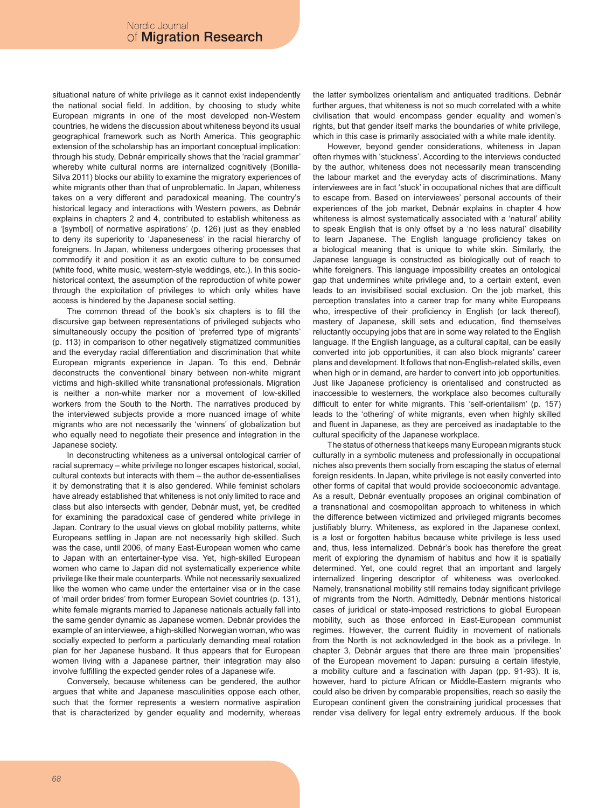situational nature of white privilege as it cannot exist independently the national social field. In addition, by choosing to study white European migrants in one of the most developed non-Western countries, he widens the discussion about whiteness beyond its usual geographical framework such as North America. This geographic extension of the scholarship has an important conceptual implication: through his study, Debnár empirically shows that the 'racial grammar' whereby white cultural norms are internalized cognitively (Bonilla-Silva 2011) blocks our ability to examine the migratory experiences of white migrants other than that of unproblematic. In Japan, whiteness takes on a very different and paradoxical meaning. The country's historical legacy and interactions with Western powers, as Debnár explains in chapters 2 and 4, contributed to establish whiteness as a '[symbol] of normative aspirations' (p. 126) just as they enabled to deny its superiority to 'Japaneseness' in the racial hierarchy of foreigners. In Japan, whiteness undergoes othering processes that commodify it and position it as an exotic culture to be consumed (white food, white music, western-style weddings, etc.). In this sociohistorical context, the assumption of the reproduction of white power through the exploitation of privileges to which only whites have access is hindered by the Japanese social setting.

The common thread of the book's six chapters is to fill the discursive gap between representations of privileged subjects who simultaneously occupy the position of 'preferred type of migrants' (p. 113) in comparison to other negatively stigmatized communities and the everyday racial differentiation and discrimination that white European migrants experience in Japan. To this end, Debnár deconstructs the conventional binary between non-white migrant victims and high-skilled white transnational professionals. Migration is neither a non-white marker nor a movement of low-skilled workers from the South to the North. The narratives produced by the interviewed subjects provide a more nuanced image of white migrants who are not necessarily the 'winners' of globalization but who equally need to negotiate their presence and integration in the Japanese society.

In deconstructing whiteness as a universal ontological carrier of racial supremacy – white privilege no longer escapes historical, social, cultural contexts but interacts with them – the author de-essentialises it by demonstrating that it is also gendered. While feminist scholars have already established that whiteness is not only limited to race and class but also intersects with gender, Debnár must, yet, be credited for examining the paradoxical case of gendered white privilege in Japan. Contrary to the usual views on global mobility patterns, white Europeans settling in Japan are not necessarily high skilled. Such was the case, until 2006, of many East-European women who came to Japan with an entertainer-type visa. Yet, high-skilled European women who came to Japan did not systematically experience white privilege like their male counterparts. While not necessarily sexualized like the women who came under the entertainer visa or in the case of 'mail order brides' from former European Soviet countries (p. 131), white female migrants married to Japanese nationals actually fall into the same gender dynamic as Japanese women. Debnár provides the example of an interviewee, a high-skilled Norwegian woman, who was socially expected to perform a particularly demanding meal rotation plan for her Japanese husband. It thus appears that for European women living with a Japanese partner, their integration may also involve fulfilling the expected gender roles of a Japanese wife.

Conversely, because whiteness can be gendered, the author argues that white and Japanese masculinities oppose each other, such that the former represents a western normative aspiration that is characterized by gender equality and modernity, whereas the latter symbolizes orientalism and antiquated traditions. Debnár further argues, that whiteness is not so much correlated with a white civilisation that would encompass gender equality and women's rights, but that gender itself marks the boundaries of white privilege, which in this case is primarily associated with a white male identity.

However, beyond gender considerations, whiteness in Japan often rhymes with 'stuckness'. According to the interviews conducted by the author, whiteness does not necessarily mean transcending the labour market and the everyday acts of discriminations. Many interviewees are in fact 'stuck' in occupational niches that are difficult to escape from. Based on interviewees' personal accounts of their experiences of the job market, Debnár explains in chapter 4 how whiteness is almost systematically associated with a 'natural' ability to speak English that is only offset by a 'no less natural' disability to learn Japanese. The English language proficiency takes on a biological meaning that is unique to white skin. Similarly, the Japanese language is constructed as biologically out of reach to white foreigners. This language impossibility creates an ontological gap that undermines white privilege and, to a certain extent, even leads to an invisibilised social exclusion. On the job market, this perception translates into a career trap for many white Europeans who, irrespective of their proficiency in English (or lack thereof), mastery of Japanese, skill sets and education, find themselves reluctantly occupying jobs that are in some way related to the English language. If the English language, as a cultural capital, can be easily converted into job opportunities, it can also block migrants' career plans and development. It follows that non-English-related skills, even when high or in demand, are harder to convert into job opportunities. Just like Japanese proficiency is orientalised and constructed as inaccessible to westerners, the workplace also becomes culturally difficult to enter for white migrants. This 'self-orientalism' (p. 157) leads to the 'othering' of white migrants, even when highly skilled and fluent in Japanese, as they are perceived as inadaptable to the cultural specificity of the Japanese workplace.

The status of otherness that keeps many European migrants stuck culturally in a symbolic muteness and professionally in occupational niches also prevents them socially from escaping the status of eternal foreign residents. In Japan, white privilege is not easily converted into other forms of capital that would provide socioeconomic advantage. As a result, Debnár eventually proposes an original combination of a transnational and cosmopolitan approach to whiteness in which the difference between victimized and privileged migrants becomes justifiably blurry. Whiteness, as explored in the Japanese context, is a lost or forgotten habitus because white privilege is less used and, thus, less internalized. Debnár's book has therefore the great merit of exploring the dynamism of habitus and how it is spatially determined. Yet, one could regret that an important and largely internalized lingering descriptor of whiteness was overlooked. Namely, transnational mobility still remains today significant privilege of migrants from the North. Admittedly, Debnár mentions historical cases of juridical or state-imposed restrictions to global European mobility, such as those enforced in East-European communist regimes. However, the current fluidity in movement of nationals from the North is not acknowledged in the book as a privilege. In chapter 3, Debnár argues that there are three main 'propensities' of the European movement to Japan: pursuing a certain lifestyle, a mobility culture and a fascination with Japan (pp. 91-93). It is, however, hard to picture African or Middle-Eastern migrants who could also be driven by comparable propensities, reach so easily the European continent given the constraining juridical processes that render visa delivery for legal entry extremely arduous. If the book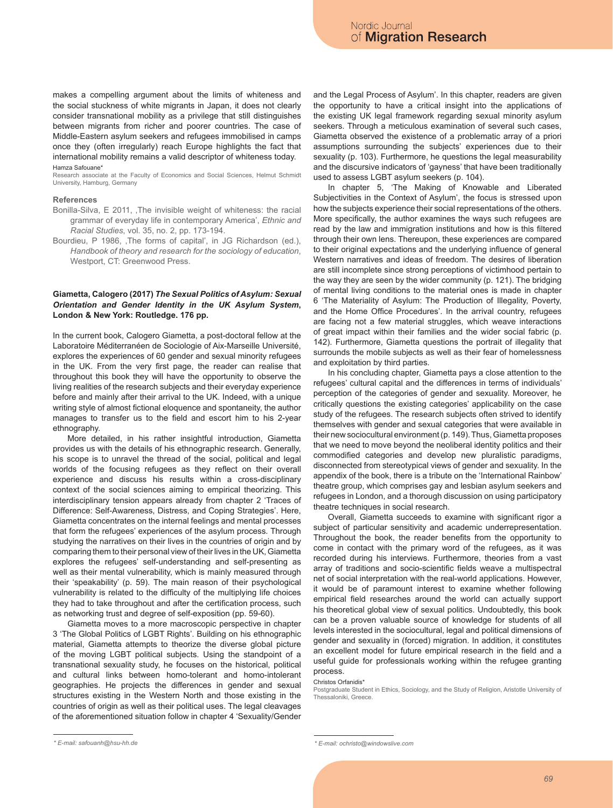makes a compelling argument about the limits of whiteness and the social stuckness of white migrants in Japan, it does not clearly consider transnational mobility as a privilege that still distinguishes between migrants from richer and poorer countries. The case of Middle-Eastern asylum seekers and refugees immobilised in camps once they (often irregularly) reach Europe highlights the fact that international mobility remains a valid descriptor of whiteness today. Hamza Safouane\*

Research associate at the Faculty of Economics and Social Sciences, Helmut Schmidt University, Hamburg, Germany

### **References**

- Bonilla-Silva, E 2011, , The invisible weight of whiteness: the racial grammar of everyday life in contemporary America', *Ethnic and Racial Studies*, vol. 35, no. 2, pp. 173-194.
- Bourdieu, P 1986, ,The forms of capital', in JG Richardson (ed.), *Handbook of theory and research for the sociology of education*, Westport, CT: Greenwood Press.

## **Giametta, Calogero (2017)** *The Sexual Politics of Asylum: Sexual Orientation and Gender Identity in the UK Asylum System***, London & New York: Routledge. 176 pp.**

In the current book, Calogero Giametta, a post-doctoral fellow at the Laboratoire Méditerranéen de Sociologie of Aix-Marseille Université, explores the experiences of 60 gender and sexual minority refugees in the UK. From the very first page, the reader can realise that throughout this book they will have the opportunity to observe the living realities of the research subjects and their everyday experience before and mainly after their arrival to the UK. Indeed, with a unique writing style of almost fictional eloquence and spontaneity, the author manages to transfer us to the field and escort him to his 2-year ethnography.

More detailed, in his rather insightful introduction, Giametta provides us with the details of his ethnographic research. Generally, his scope is to unravel the thread of the social, political and legal worlds of the focusing refugees as they reflect on their overall experience and discuss his results within a cross-disciplinary context of the social sciences aiming to empirical theorizing. This interdisciplinary tension appears already from chapter 2 'Traces of Difference: Self-Awareness, Distress, and Coping Strategies'. Here, Giametta concentrates on the internal feelings and mental processes that form the refugees' experiences of the asylum process. Through studying the narratives on their lives in the countries of origin and by comparing them to their personal view of their lives in the UK, Giametta explores the refugees' self-understanding and self-presenting as well as their mental vulnerability, which is mainly measured through their 'speakability' (p. 59). The main reason of their psychological vulnerability is related to the difficulty of the multiplying life choices they had to take throughout and after the certification process, such as networking trust and degree of self-exposition (pp. 59-60).

Giametta moves to a more macroscopic perspective in chapter 3 'The Global Politics of LGBT Rights'. Building on his ethnographic material, Giametta attempts to theorize the diverse global picture of the moving LGBT political subjects. Using the standpoint of a transnational sexuality study, he focuses on the historical, political and cultural links between homo-tolerant and homo-intolerant geographies. He projects the differences in gender and sexual structures existing in the Western North and those existing in the countries of origin as well as their political uses. The legal cleavages of the aforementioned situation follow in chapter 4 'Sexuality/Gender

and the Legal Process of Asylum'. In this chapter, readers are given the opportunity to have a critical insight into the applications of the existing UK legal framework regarding sexual minority asylum seekers. Through a meticulous examination of several such cases, Giametta observed the existence of a problematic array of a priori assumptions surrounding the subjects' experiences due to their sexuality (p. 103). Furthermore, he questions the legal measurability and the discursive indicators of 'gayness' that have been traditionally used to assess LGBT asylum seekers (p. 104).

In chapter 5, 'The Making of Knowable and Liberated Subjectivities in the Context of Asylum', the focus is stressed upon how the subjects experience their social representations of the others. More specifically, the author examines the ways such refugees are read by the law and immigration institutions and how is this filtered through their own lens. Thereupon, these experiences are compared to their original expectations and the underlying influence of general Western narratives and ideas of freedom. The desires of liberation are still incomplete since strong perceptions of victimhood pertain to the way they are seen by the wider community (p. 121). The bridging of mental living conditions to the material ones is made in chapter 6 'The Materiality of Asylum: The Production of Illegality, Poverty, and the Home Office Procedures'. In the arrival country, refugees are facing not a few material struggles, which weave interactions of great impact within their families and the wider social fabric (p. 142). Furthermore, Giametta questions the portrait of illegality that surrounds the mobile subjects as well as their fear of homelessness and exploitation by third parties.

In his concluding chapter, Giametta pays a close attention to the refugees' cultural capital and the differences in terms of individuals' perception of the categories of gender and sexuality. Moreover, he critically questions the existing categories' applicability on the case study of the refugees. The research subjects often strived to identify themselves with gender and sexual categories that were available in their new sociocultural environment (p. 149). Thus, Giametta proposes that we need to move beyond the neoliberal identity politics and their commodified categories and develop new pluralistic paradigms, disconnected from stereotypical views of gender and sexuality. In the appendix of the book, there is a tribute on the 'International Rainbow' theatre group, which comprises gay and lesbian asylum seekers and refugees in London, and a thorough discussion on using participatory theatre techniques in social research.

Overall, Giametta succeeds to examine with significant rigor a subject of particular sensitivity and academic underrepresentation. Throughout the book, the reader benefits from the opportunity to come in contact with the primary word of the refugees, as it was recorded during his interviews. Furthermore, theories from a vast array of traditions and socio-scientific fields weave a multispectral net of social interpretation with the real-world applications. However, it would be of paramount interest to examine whether following empirical field researches around the world can actually support his theoretical global view of sexual politics. Undoubtedly, this book can be a proven valuable source of knowledge for students of all levels interested in the sociocultural, legal and political dimensions of gender and sexuality in (forced) migration. In addition, it constitutes an excellent model for future empirical research in the field and a useful guide for professionals working within the refugee granting process.

#### Christos Orfanidis\*

Postgraduate Student in Ethics, Sociology, and the Study of Religion, Aristotle University of Thessaloniki, Greece.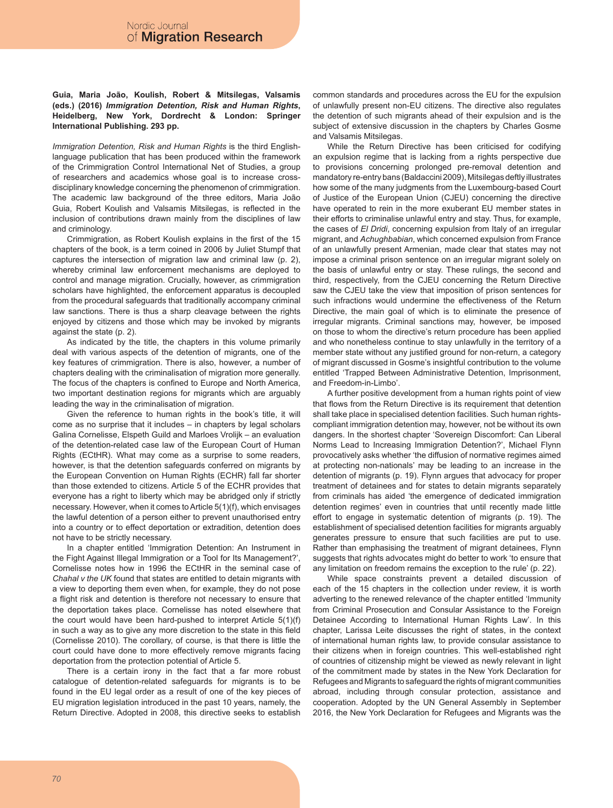# **Guia, Maria João, Koulish, Robert & Mitsilegas, Valsamis (eds.) (2016)** *Immigration Detention, Risk and Human Rights***, Heidelberg, New York, Dordrecht & London: Springer International Publishing. 293 pp.**

*Immigration Detention, Risk and Human Rights* is the third Englishlanguage publication that has been produced within the framework of the Crimmigration Control International Net of Studies, a group of researchers and academics whose goal is to increase crossdisciplinary knowledge concerning the phenomenon of crimmigration. The academic law background of the three editors, Maria João Guia, Robert Koulish and Valsamis Mitsilegas, is reflected in the inclusion of contributions drawn mainly from the disciplines of law and criminology.

Crimmigration, as Robert Koulish explains in the first of the 15 chapters of the book, is a term coined in 2006 by Juliet Stumpf that captures the intersection of migration law and criminal law (p. 2), whereby criminal law enforcement mechanisms are deployed to control and manage migration. Crucially, however, as crimmigration scholars have highlighted, the enforcement apparatus is decoupled from the procedural safeguards that traditionally accompany criminal law sanctions. There is thus a sharp cleavage between the rights enjoyed by citizens and those which may be invoked by migrants against the state (p. 2).

As indicated by the title, the chapters in this volume primarily deal with various aspects of the detention of migrants, one of the key features of crimmigration. There is also, however, a number of chapters dealing with the criminalisation of migration more generally. The focus of the chapters is confined to Europe and North America, two important destination regions for migrants which are arguably leading the way in the criminalisation of migration.

Given the reference to human rights in the book's title, it will come as no surprise that it includes – in chapters by legal scholars Galina Cornelisse, Elspeth Guild and Marloes Vrolijk – an evaluation of the detention-related case law of the European Court of Human Rights (ECtHR). What may come as a surprise to some readers, however, is that the detention safeguards conferred on migrants by the European Convention on Human Rights (ECHR) fall far shorter than those extended to citizens. Article 5 of the ECHR provides that everyone has a right to liberty which may be abridged only if strictly necessary. However, when it comes to Article 5(1)(f), which envisages the lawful detention of a person either to prevent unauthorised entry into a country or to effect deportation or extradition, detention does not have to be strictly necessary.

In a chapter entitled 'Immigration Detention: An Instrument in the Fight Against Illegal Immigration or a Tool for Its Management?', Cornelisse notes how in 1996 the ECtHR in the seminal case of *Chahal v the UK* found that states are entitled to detain migrants with a view to deporting them even when, for example, they do not pose a flight risk and detention is therefore not necessary to ensure that the deportation takes place. Cornelisse has noted elsewhere that the court would have been hard-pushed to interpret Article 5(1)(f) in such a way as to give any more discretion to the state in this field (Cornelisse 2010). The corollary, of course, is that there is little the court could have done to more effectively remove migrants facing deportation from the protection potential of Article 5.

There is a certain irony in the fact that a far more robust catalogue of detention-related safeguards for migrants is to be found in the EU legal order as a result of one of the key pieces of EU migration legislation introduced in the past 10 years, namely, the Return Directive. Adopted in 2008, this directive seeks to establish common standards and procedures across the EU for the expulsion of unlawfully present non-EU citizens. The directive also regulates the detention of such migrants ahead of their expulsion and is the subject of extensive discussion in the chapters by Charles Gosme and Valsamis Mitsilegas.

While the Return Directive has been criticised for codifying an expulsion regime that is lacking from a rights perspective due to provisions concerning prolonged pre-removal detention and mandatory re-entry bans (Baldaccini 2009), Mitsilegas deftly illustrates how some of the many judgments from the Luxembourg-based Court of Justice of the European Union (CJEU) concerning the directive have operated to rein in the more exuberant EU member states in their efforts to criminalise unlawful entry and stay. Thus, for example, the cases of *El Dridi*, concerning expulsion from Italy of an irregular migrant, and *Achughbabian*, which concerned expulsion from France of an unlawfully present Armenian, made clear that states may not impose a criminal prison sentence on an irregular migrant solely on the basis of unlawful entry or stay. These rulings, the second and third, respectively, from the CJEU concerning the Return Directive saw the CJEU take the view that imposition of prison sentences for such infractions would undermine the effectiveness of the Return Directive, the main goal of which is to eliminate the presence of irregular migrants. Criminal sanctions may, however, be imposed on those to whom the directive's return procedure has been applied and who nonetheless continue to stay unlawfully in the territory of a member state without any justified ground for non-return, a category of migrant discussed in Gosme's insightful contribution to the volume entitled 'Trapped Between Administrative Detention, Imprisonment, and Freedom-in-Limbo'

A further positive development from a human rights point of view that flows from the Return Directive is its requirement that detention shall take place in specialised detention facilities. Such human rightscompliant immigration detention may, however, not be without its own dangers. In the shortest chapter 'Sovereign Discomfort: Can Liberal Norms Lead to Increasing Immigration Detention?', Michael Flynn provocatively asks whether 'the diffusion of normative regimes aimed at protecting non-nationals' may be leading to an increase in the detention of migrants (p. 19). Flynn argues that advocacy for proper treatment of detainees and for states to detain migrants separately from criminals has aided 'the emergence of dedicated immigration detention regimes' even in countries that until recently made little effort to engage in systematic detention of migrants (p. 19). The establishment of specialised detention facilities for migrants arguably generates pressure to ensure that such facilities are put to use. Rather than emphasising the treatment of migrant detainees, Flynn suggests that rights advocates might do better to work 'to ensure that any limitation on freedom remains the exception to the rule' (p. 22).

While space constraints prevent a detailed discussion of each of the 15 chapters in the collection under review, it is worth adverting to the renewed relevance of the chapter entitled 'Immunity from Criminal Prosecution and Consular Assistance to the Foreign Detainee According to International Human Rights Law'. In this chapter, Larissa Leite discusses the right of states, in the context of international human rights law, to provide consular assistance to their citizens when in foreign countries. This well-established right of countries of citizenship might be viewed as newly relevant in light of the commitment made by states in the New York Declaration for Refugees and Migrants to safeguard the rights of migrant communities abroad, including through consular protection, assistance and cooperation. Adopted by the UN General Assembly in September 2016, the New York Declaration for Refugees and Migrants was the